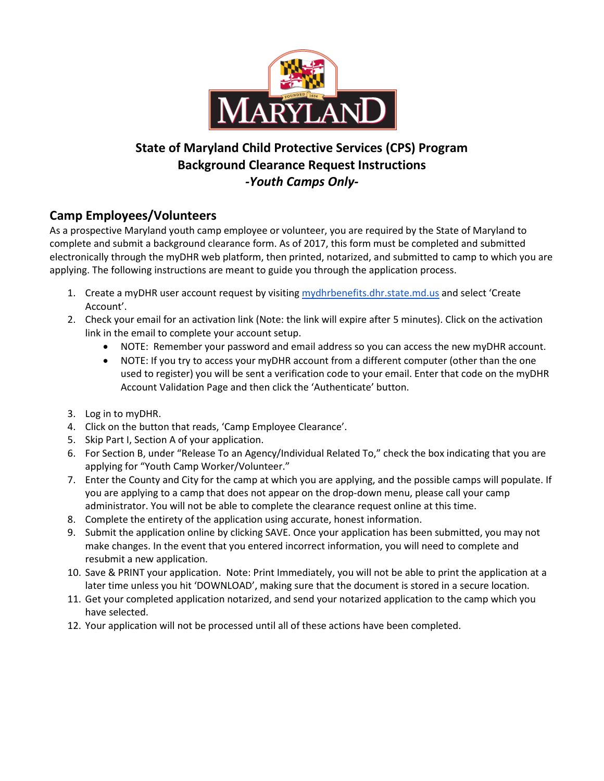

## **State of Maryland Child Protective Services (CPS) Program Background Clearance Request Instructions** *-Youth Camps Only-*

## **Camp Employees/Volunteers**

As a prospective Maryland youth camp employee or volunteer, you are required by the State of Maryland to complete and submit a background clearance form. As of 2017, this form must be completed and submitted electronically through the myDHR web platform, then printed, notarized, and submitted to camp to which you are applying. The following instructions are meant to guide you through the application process.

- 1. Create a myDHR user account request by visiting [mydhrbenefits.dhr.state.md.us](https://mydhrbenefits.dhr.state.md.us/dashboardClient/#/home) and select 'Create Account'.
- 2. Check your email for an activation link (Note: the link will expire after 5 minutes). Click on the activation link in the email to complete your account setup.
	- NOTE: Remember your password and email address so you can access the new myDHR account.
	- NOTE: If you try to access your myDHR account from a different computer (other than the one used to register) you will be sent a verification code to your email. Enter that code on the myDHR Account Validation Page and then click the 'Authenticate' button.
- 3. Log in to myDHR.
- 4. Click on the button that reads, 'Camp Employee Clearance'.
- 5. Skip Part I, Section A of your application.
- 6. For Section B, under "Release To an Agency/Individual Related To," check the box indicating that you are applying for "Youth Camp Worker/Volunteer."
- 7. Enter the County and City for the camp at which you are applying, and the possible camps will populate. If you are applying to a camp that does not appear on the drop-down menu, please call your camp administrator. You will not be able to complete the clearance request online at this time.
- 8. Complete the entirety of the application using accurate, honest information.
- 9. Submit the application online by clicking SAVE. Once your application has been submitted, you may not make changes. In the event that you entered incorrect information, you will need to complete and resubmit a new application.
- 10. Save & PRINT your application. Note: Print Immediately, you will not be able to print the application at a later time unless you hit 'DOWNLOAD', making sure that the document is stored in a secure location.
- 11. Get your completed application notarized, and send your notarized application to the camp which you have selected.
- 12. Your application will not be processed until all of these actions have been completed.